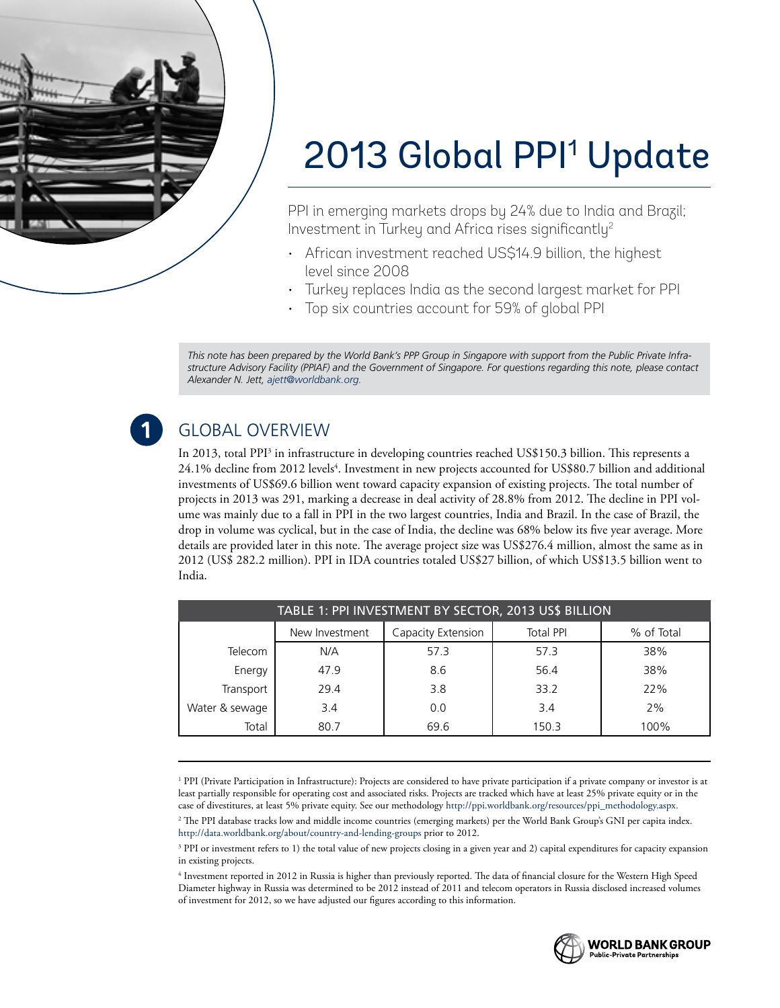

# 2013 Global PPI<sup>1</sup> Update

PPI in emerging markets drops by 24% due to India and Brazil; Investment in Turkey and Africa rises significantly<sup>2</sup>

- African investment reached US\$14.9 billion, the highest level since 2008
- • Turkey replaces India as the second largest market for PPI
- Top six countries account for 59% of global PPI

*This note has been prepared by the World Bank's PPP Group in Singapore with support from the Public Private Infrastructure Advisory Facility (PPIAF) and the Government of Singapore. For questions regarding this note, please contact Alexander N. Jett, [ajett@worldbank.org.](mailto:ajett@worldbank.org)*

# Global Overview

In 2013, total PPI<sup>3</sup> in infrastructure in developing countries reached US\$150.3 billion. This represents a 24.1% decline from 2012 levels<sup>4</sup>. Investment in new projects accounted for US\$80.7 billion and additional investments of US\$69.6 billion went toward capacity expansion of existing projects. The total number of projects in 2013 was 291, marking a decrease in deal activity of 28.8% from 2012. The decline in PPI volume was mainly due to a fall in PPI in the two largest countries, India and Brazil. In the case of Brazil, the drop in volume was cyclical, but in the case of India, the decline was 68% below its five year average. More details are provided later in this note. The average project size was US\$276.4 million, almost the same as in 2012 (US\$ 282.2 million). PPI in IDA countries totaled US\$27 billion, of which US\$13.5 billion went to India.

| TABLE 1: PPI INVESTMENT BY SECTOR, 2013 US\$ BILLION |                                                                        |      |       |      |  |
|------------------------------------------------------|------------------------------------------------------------------------|------|-------|------|--|
|                                                      | Capacity Extension<br><b>Total PPI</b><br>% of Total<br>New Investment |      |       |      |  |
| Telecom                                              | N/A                                                                    | 57.3 | 57.3  | 38%  |  |
| Energy                                               | 47.9                                                                   | 8.6  | 56.4  | 38%  |  |
| Transport                                            | 29.4                                                                   | 3.8  | 33.2  | 22%  |  |
| Water & sewage                                       | 3.4                                                                    | 0.0  | 3.4   | 2%   |  |
| Total                                                | 80.7                                                                   | 69.6 | 150.3 | 100% |  |

<sup>1</sup> PPI (Private Participation in Infrastructure): Projects are considered to have private participation if a private company or investor is at least partially responsible for operating cost and associated risks. Projects are tracked which have at least 25% private equity or in the case of divestitures, at least 5% private equity. See our methodology [http://ppi.worldbank.org/resources/ppi\\_methodology.aspx.](http://ppi.worldbank.org/resources/ppi_methodology.aspx) 2 The PPI database tracks low and middle income countries (emerging markets) per the World Bank Group's GNI per capita index. <http://data.worldbank.org/about/country-and-lending-groups>prior to 2012.

3 PPI or investment refers to 1) the total value of new projects closing in a given year and 2) capital expenditures for capacity expansion in existing projects.

4 Investment reported in 2012 in Russia is higher than previously reported. The data of financial closure for the Western High Speed Diameter highway in Russia was determined to be 2012 instead of 2011 and telecom operators in Russia disclosed increased volumes of investment for 2012, so we have adjusted our figures according to this information.

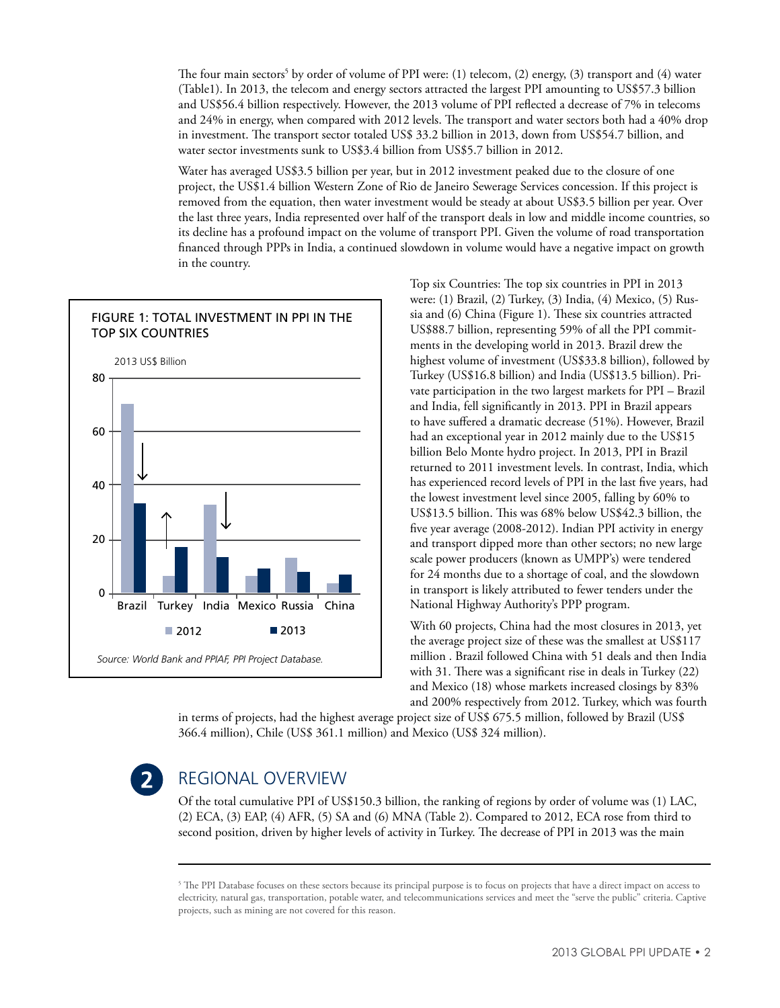The four main sectors<sup>5</sup> by order of volume of PPI were:  $(1)$  telecom,  $(2)$  energy,  $(3)$  transport and  $(4)$  water (Table1). In 2013, the telecom and energy sectors attracted the largest PPI amounting to US\$57.3 billion and US\$56.4 billion respectively. However, the 2013 volume of PPI reflected a decrease of 7% in telecoms and 24% in energy, when compared with 2012 levels. The transport and water sectors both had a 40% drop in investment. The transport sector totaled US\$ 33.2 billion in 2013, down from US\$54.7 billion, and water sector investments sunk to US\$3.4 billion from US\$5.7 billion in 2012.

Water has averaged US\$3.5 billion per year, but in 2012 investment peaked due to the closure of one project, the US\$1.4 billion Western Zone of Rio de Janeiro Sewerage Services concession. If this project is removed from the equation, then water investment would be steady at about US\$3.5 billion per year. Over the last three years, India represented over half of the transport deals in low and middle income countries, so its decline has a profound impact on the volume of transport PPI. Given the volume of road transportation financed through PPPs in India, a continued slowdown in volume would have a negative impact on growth in the country.



Top six Countries: The top six countries in PPI in 2013 were: (1) Brazil, (2) Turkey, (3) India, (4) Mexico, (5) Russia and (6) China (Figure 1). These six countries attracted US\$88.7 billion, representing 59% of all the PPI commitments in the developing world in 2013. Brazil drew the highest volume of investment (US\$33.8 billion), followed by Turkey (US\$16.8 billion) and India (US\$13.5 billion). Private participation in the two largest markets for PPI – Brazil and India, fell significantly in 2013. PPI in Brazil appears to have suffered a dramatic decrease (51%). However, Brazil had an exceptional year in 2012 mainly due to the US\$15 billion Belo Monte hydro project. In 2013, PPI in Brazil returned to 2011 investment levels. In contrast, India, which has experienced record levels of PPI in the last five years, had the lowest investment level since 2005, falling by 60% to US\$13.5 billion. This was 68% below US\$42.3 billion, the five year average (2008-2012). Indian PPI activity in energy and transport dipped more than other sectors; no new large scale power producers (known as UMPP's) were tendered for 24 months due to a shortage of coal, and the slowdown in transport is likely attributed to fewer tenders under the National Highway Authority's PPP program.

With 60 projects, China had the most closures in 2013, yet the average project size of these was the smallest at US\$117 million . Brazil followed China with 51 deals and then India with 31. There was a significant rise in deals in Turkey (22) and Mexico (18) whose markets increased closings by 83% and 200% respectively from 2012. Turkey, which was fourth

in terms of projects, had the highest average project size of US\$ 675.5 million, followed by Brazil (US\$ 366.4 million), Chile (US\$ 361.1 million) and Mexico (US\$ 324 million).



## Regional Overview

Of the total cumulative PPI of US\$150.3 billion, the ranking of regions by order of volume was (1) LAC, (2) ECA, (3) EAP, (4) AFR, (5) SA and (6) MNA (Table 2). Compared to 2012, ECA rose from third to second position, driven by higher levels of activity in Turkey. The decrease of PPI in 2013 was the main

<sup>5</sup> The PPI Database focuses on these sectors because its principal purpose is to focus on projects that have a direct impact on access to electricity, natural gas, transportation, potable water, and telecommunications services and meet the "serve the public" criteria. Captive projects, such as mining are not covered for this reason.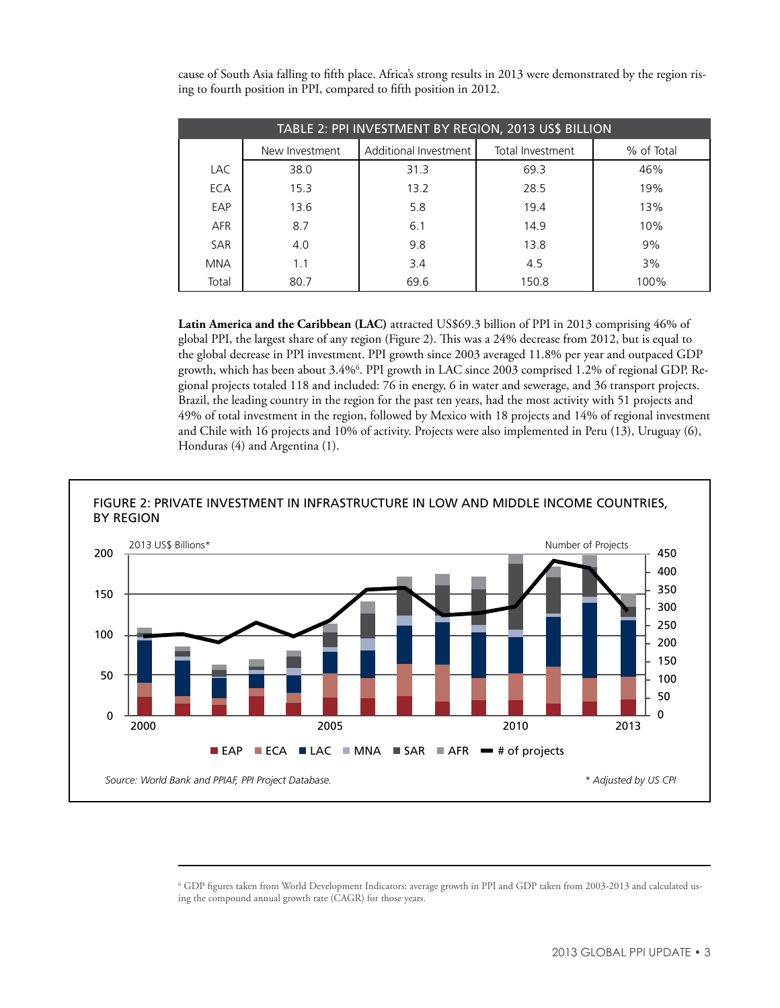| TABLE 2: PPI INVESTMENT BY REGION, 2013 US\$ BILLION |                |                       |                  |            |  |
|------------------------------------------------------|----------------|-----------------------|------------------|------------|--|
|                                                      | New Investment | Additional Investment | Total Investment | % of Total |  |
| <b>LAC</b>                                           | 38.0           | 31.3                  | 69.3             | 46%        |  |
| ECA                                                  | 15.3           | 13.2                  | 28.5             | 19%        |  |
| EAP                                                  | 13.6           | 5.8                   | 19.4             | 13%        |  |
| <b>AFR</b>                                           | 8.7            | 6.1                   | 14.9             | 10%        |  |
| <b>SAR</b>                                           | 4.0            | 9.8                   | 13.8             | 9%         |  |
| <b>MNA</b>                                           | 1.1            | 3.4                   | 4.5              | 3%         |  |
| Total                                                | 80.7           | 69.6                  | 150.8            | 100%       |  |

cause of South Asia falling to fifth place. Africa's strong results in 2013 were demonstrated by the region rising to fourth position in PPI, compared to fifth position in 2012.

**Latin America and the Caribbean (LAC)** attracted US\$69.3 billion of PPI in 2013 comprising 46% of global PPI, the largest share of any region (Figure 2). This was a 24% decrease from 2012, but is equal to the global decrease in PPI investment. PPI growth since 2003 averaged 11.8% per year and outpaced GDP growth, which has been about 3.4%6 . PPI growth in LAC since 2003 comprised 1.2% of regional GDP. Regional projects totaled 118 and included: 76 in energy, 6 in water and sewerage, and 36 transport projects. Brazil, the leading country in the region for the past ten years, had the most activity with 51 projects and 49% of total investment in the region, followed by Mexico with 18 projects and 14% of regional investment and Chile with 16 projects and 10% of activity. Projects were also implemented in Peru (13), Uruguay (6), Honduras (4) and Argentina (1).



<sup>6</sup> GDP figures taken from World Development Indicators; average growth in PPI and GDP taken from 2003-2013 and calculated using the compound annual growth rate (CAGR) for those years.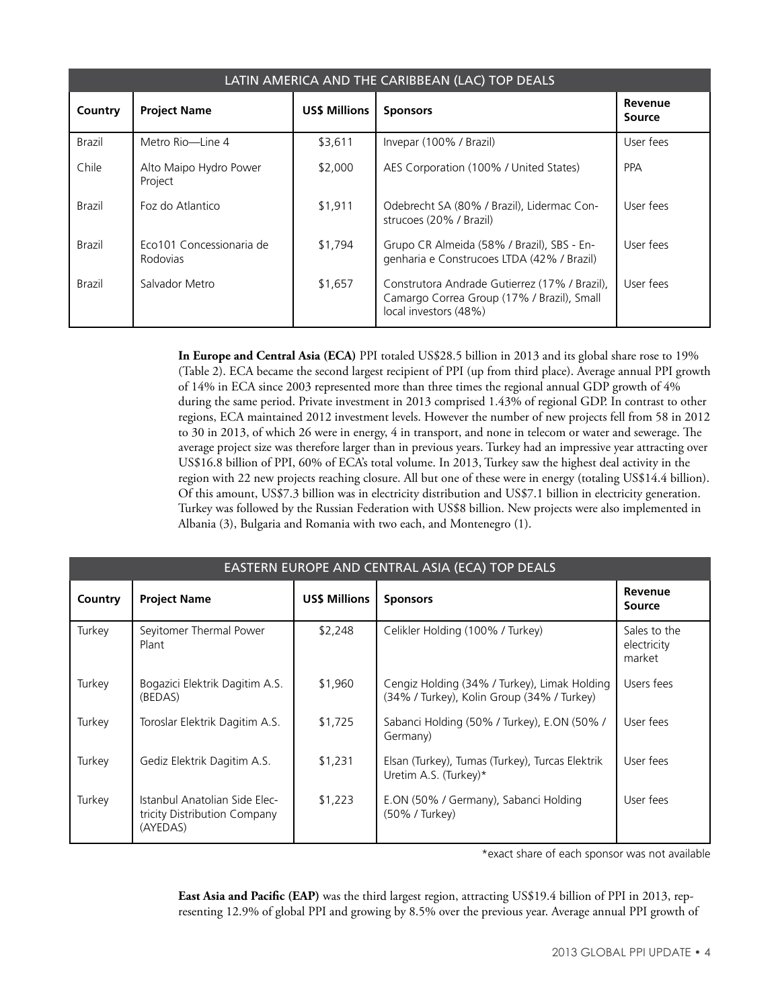| LATIN AMERICA AND THE CARIBBEAN (LAC) TOP DEALS |                                             |                     |                                                                                                                      |                   |
|-------------------------------------------------|---------------------------------------------|---------------------|----------------------------------------------------------------------------------------------------------------------|-------------------|
| Country                                         | <b>Project Name</b>                         | <b>USS Millions</b> | <b>Sponsors</b>                                                                                                      | Revenue<br>Source |
| Brazil                                          | Metro Rio-Line 4                            | \$3,611             | Invepar (100% / Brazil)                                                                                              | User fees         |
| Chile                                           | Alto Maipo Hydro Power<br>Project           | \$2,000             | AES Corporation (100% / United States)                                                                               | <b>PPA</b>        |
| Brazil                                          | Foz do Atlantico                            | \$1,911             | Odebrecht SA (80% / Brazil), Lidermac Con-<br>strucoes (20% / Brazil)                                                | User fees         |
| Brazil                                          | Eco101 Concessionaria de<br><b>Rodovias</b> | \$1,794             | Grupo CR Almeida (58% / Brazil), SBS - En-<br>genharia e Construcoes LTDA (42% / Brazil)                             | User fees         |
| Brazil                                          | Salvador Metro                              | \$1,657             | Construtora Andrade Gutierrez (17% / Brazil),<br>Camargo Correa Group (17% / Brazil), Small<br>local investors (48%) | User fees         |

**In Europe and Central Asia (ECA)** PPI totaled US\$28.5 billion in 2013 and its global share rose to 19% (Table 2). ECA became the second largest recipient of PPI (up from third place). Average annual PPI growth of 14% in ECA since 2003 represented more than three times the regional annual GDP growth of 4% during the same period. Private investment in 2013 comprised 1.43% of regional GDP. In contrast to other regions, ECA maintained 2012 investment levels. However the number of new projects fell from 58 in 2012 to 30 in 2013, of which 26 were in energy, 4 in transport, and none in telecom or water and sewerage. The average project size was therefore larger than in previous years. Turkey had an impressive year attracting over US\$16.8 billion of PPI, 60% of ECA's total volume. In 2013, Turkey saw the highest deal activity in the region with 22 new projects reaching closure. All but one of these were in energy (totaling US\$14.4 billion). Of this amount, US\$7.3 billion was in electricity distribution and US\$7.1 billion in electricity generation. Turkey was followed by the Russian Federation with US\$8 billion. New projects were also implemented in Albania (3), Bulgaria and Romania with two each, and Montenegro (1).

| EASTERN EUROPE AND CENTRAL ASIA (ECA) TOP DEALS |                                                                           |                     |                                                                                            |                                       |
|-------------------------------------------------|---------------------------------------------------------------------------|---------------------|--------------------------------------------------------------------------------------------|---------------------------------------|
| Country                                         | <b>Project Name</b>                                                       | <b>USS Millions</b> | <b>Sponsors</b>                                                                            | Revenue<br>Source                     |
| Turkey                                          | Seyitomer Thermal Power<br>Plant                                          | \$2,248             | Celikler Holding (100% / Turkey)                                                           | Sales to the<br>electricity<br>market |
| Turkey                                          | Bogazici Elektrik Dagitim A.S.<br>(BEDAS)                                 | \$1,960             | Cengiz Holding (34% / Turkey), Limak Holding<br>(34% / Turkey), Kolin Group (34% / Turkey) | Users fees                            |
| Turkey                                          | Toroslar Elektrik Dagitim A.S.                                            | \$1,725             | Sabanci Holding (50% / Turkey), E.ON (50% /<br>Germany)                                    | User fees                             |
| Turkey                                          | Gediz Elektrik Dagitim A.S.                                               | \$1,231             | Elsan (Turkey), Tumas (Turkey), Turcas Elektrik<br>Uretim A.S. (Turkey)*                   | User fees                             |
| Turkey                                          | Istanbul Anatolian Side Elec-<br>tricity Distribution Company<br>(AYEDAS) | \$1,223             | E.ON (50% / Germany), Sabanci Holding<br>(50% / Turkey)                                    | User fees                             |

\*exact share of each sponsor was not available

**East Asia and Pacific (EAP)** was the third largest region, attracting US\$19.4 billion of PPI in 2013, representing 12.9% of global PPI and growing by 8.5% over the previous year. Average annual PPI growth of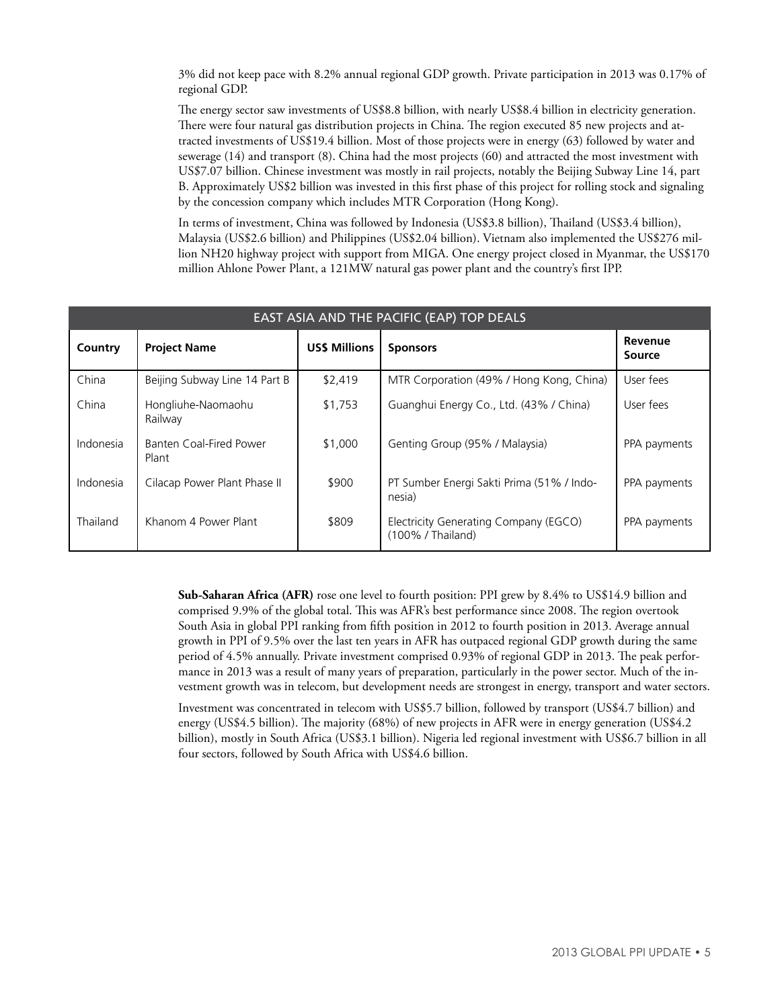3% did not keep pace with 8.2% annual regional GDP growth. Private participation in 2013 was 0.17% of regional GDP.

The energy sector saw investments of US\$8.8 billion, with nearly US\$8.4 billion in electricity generation. There were four natural gas distribution projects in China. The region executed 85 new projects and attracted investments of US\$19.4 billion. Most of those projects were in energy (63) followed by water and sewerage (14) and transport (8). China had the most projects (60) and attracted the most investment with US\$7.07 billion. Chinese investment was mostly in rail projects, notably the Beijing Subway Line 14, part B. Approximately US\$2 billion was invested in this first phase of this project for rolling stock and signaling by the concession company which includes MTR Corporation (Hong Kong).

In terms of investment, China was followed by Indonesia (US\$3.8 billion), Thailand (US\$3.4 billion), Malaysia (US\$2.6 billion) and Philippines (US\$2.04 billion). Vietnam also implemented the US\$276 million NH20 highway project with support from MIGA. One energy project closed in Myanmar, the US\$170 million Ahlone Power Plant, a 121MW natural gas power plant and the country's first IPP.

| EAST ASIA AND THE PACIFIC (EAP) TOP DEALS |                                  |                     |                                                            |                   |  |
|-------------------------------------------|----------------------------------|---------------------|------------------------------------------------------------|-------------------|--|
| Country                                   | <b>Project Name</b>              | <b>USS Millions</b> | <b>Sponsors</b>                                            | Revenue<br>Source |  |
| China                                     | Beijing Subway Line 14 Part B    | \$2,419             | MTR Corporation (49% / Hong Kong, China)                   | User fees         |  |
| China                                     | Hongliuhe-Naomaohu<br>Railway    | \$1,753             | Guanghui Energy Co., Ltd. (43% / China)                    | User fees         |  |
| Indonesia                                 | Banten Coal-Fired Power<br>Plant | \$1,000             | Genting Group (95% / Malaysia)                             | PPA payments      |  |
| Indonesia                                 | Cilacap Power Plant Phase II     | \$900               | PT Sumber Energi Sakti Prima (51% / Indo-<br>nesia)        | PPA payments      |  |
| Thailand                                  | Khanom 4 Power Plant             | \$809               | Electricity Generating Company (EGCO)<br>(100% / Thailand) | PPA payments      |  |

**Sub-Saharan Africa (AFR)** rose one level to fourth position: PPI grew by 8.4% to US\$14.9 billion and comprised 9.9% of the global total. This was AFR's best performance since 2008. The region overtook South Asia in global PPI ranking from fifth position in 2012 to fourth position in 2013. Average annual growth in PPI of 9.5% over the last ten years in AFR has outpaced regional GDP growth during the same period of 4.5% annually. Private investment comprised 0.93% of regional GDP in 2013. The peak performance in 2013 was a result of many years of preparation, particularly in the power sector. Much of the investment growth was in telecom, but development needs are strongest in energy, transport and water sectors.

Investment was concentrated in telecom with US\$5.7 billion, followed by transport (US\$4.7 billion) and energy (US\$4.5 billion). The majority (68%) of new projects in AFR were in energy generation (US\$4.2 billion), mostly in South Africa (US\$3.1 billion). Nigeria led regional investment with US\$6.7 billion in all four sectors, followed by South Africa with US\$4.6 billion.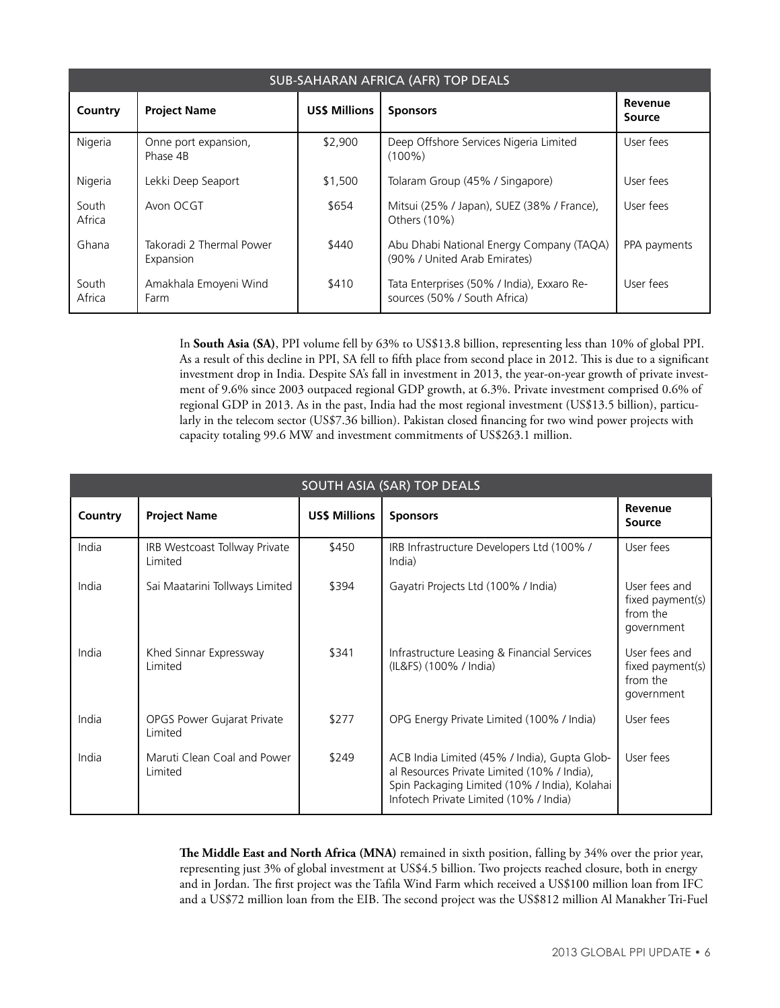| <b>SUB-SAHARAN AFRICA (AFR) TOP DEALS</b> |                                       |                     |                                                                            |                   |  |
|-------------------------------------------|---------------------------------------|---------------------|----------------------------------------------------------------------------|-------------------|--|
| Country                                   | <b>Project Name</b>                   | <b>USS Millions</b> | <b>Sponsors</b>                                                            | Revenue<br>Source |  |
| Nigeria                                   | Onne port expansion,<br>Phase 4B      | \$2.900             | Deep Offshore Services Nigeria Limited<br>$(100\%)$                        | User fees         |  |
| Nigeria                                   | Lekki Deep Seaport                    | \$1,500             | Tolaram Group (45% / Singapore)                                            | User fees         |  |
| South<br>Africa                           | Avon OCGT                             | \$654               | Mitsui (25% / Japan), SUEZ (38% / France),<br>Others (10%)                 | User fees         |  |
| Ghana                                     | Takoradi 2 Thermal Power<br>Expansion | \$440               | Abu Dhabi National Energy Company (TAQA)<br>(90% / United Arab Emirates)   | PPA payments      |  |
| South<br>Africa                           | Amakhala Emoyeni Wind<br>Farm         | \$410               | Tata Enterprises (50% / India), Exxaro Re-<br>sources (50% / South Africa) | User fees         |  |

In **South Asia (SA)**, PPI volume fell by 63% to US\$13.8 billion, representing less than 10% of global PPI. As a result of this decline in PPI, SA fell to fifth place from second place in 2012. This is due to a significant investment drop in India. Despite SA's fall in investment in 2013, the year-on-year growth of private investment of 9.6% since 2003 outpaced regional GDP growth, at 6.3%. Private investment comprised 0.6% of regional GDP in 2013. As in the past, India had the most regional investment (US\$13.5 billion), particularly in the telecom sector (US\$7.36 billion). Pakistan closed financing for two wind power projects with capacity totaling 99.6 MW and investment commitments of US\$263.1 million.

| <b>SOUTH ASIA (SAR) TOP DEALS</b> |                                          |                     |                                                                                                                                                                                        |                                                             |
|-----------------------------------|------------------------------------------|---------------------|----------------------------------------------------------------------------------------------------------------------------------------------------------------------------------------|-------------------------------------------------------------|
| Country                           | <b>Project Name</b>                      | <b>USS Millions</b> | <b>Sponsors</b>                                                                                                                                                                        | Revenue<br>Source                                           |
| India                             | IRB Westcoast Tollway Private<br>Limited | \$450               | IRB Infrastructure Developers Ltd (100%/<br>India)                                                                                                                                     | User fees                                                   |
| India                             | Sai Maatarini Tollways Limited           | \$394               | Gayatri Projects Ltd (100% / India)                                                                                                                                                    | User fees and<br>fixed payment(s)<br>from the<br>government |
| India                             | Khed Sinnar Expressway<br><b>Limited</b> | \$341               | Infrastructure Leasing & Financial Services<br>(IL&FS) (100% / India)                                                                                                                  | User fees and<br>fixed payment(s)<br>from the<br>government |
| India                             | OPGS Power Gujarat Private<br>Limited    | \$277               | OPG Energy Private Limited (100% / India)                                                                                                                                              | User fees                                                   |
| India                             | Maruti Clean Coal and Power<br>Limited   | \$249               | ACB India Limited (45% / India), Gupta Glob-<br>al Resources Private Limited (10% / India),<br>Spin Packaging Limited (10% / India), Kolahai<br>Infotech Private Limited (10% / India) | User fees                                                   |

The Middle East and North Africa (MNA) remained in sixth position, falling by 34% over the prior year, representing just 3% of global investment at US\$4.5 billion. Two projects reached closure, both in energy and in Jordan. The first project was the Tafila Wind Farm which received a US\$100 million loan from IFC and a US\$72 million loan from the EIB. The second project was the US\$812 million Al Manakher Tri-Fuel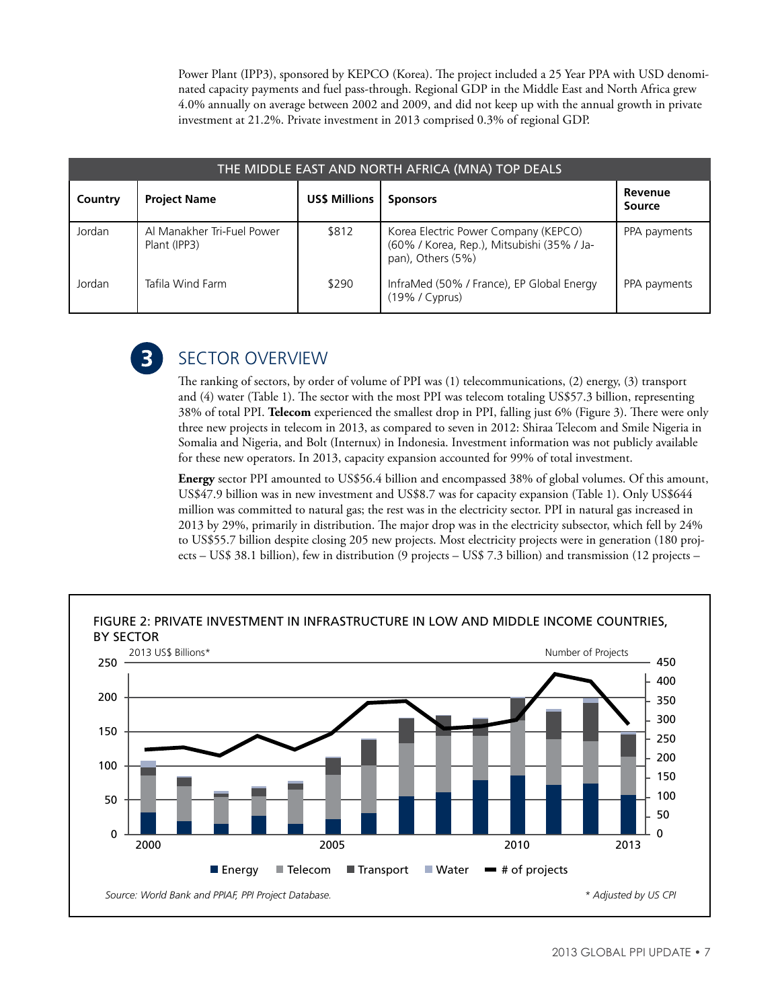Power Plant (IPP3), sponsored by KEPCO (Korea). The project included a 25 Year PPA with USD denominated capacity payments and fuel pass-through. Regional GDP in the Middle East and North Africa grew 4.0% annually on average between 2002 and 2009, and did not keep up with the annual growth in private investment at 21.2%. Private investment in 2013 comprised 0.3% of regional GDP.

| THE MIDDLE EAST AND NORTH AFRICA (MNA) TOP DEALS |                                            |                      |                                                                                                         |                   |  |
|--------------------------------------------------|--------------------------------------------|----------------------|---------------------------------------------------------------------------------------------------------|-------------------|--|
| Country                                          | <b>Project Name</b>                        | <b>US\$ Millions</b> | <b>Sponsors</b>                                                                                         | Revenue<br>Source |  |
| Jordan                                           | Al Manakher Tri-Fuel Power<br>Plant (IPP3) | \$812                | Korea Electric Power Company (KEPCO)<br>(60% / Korea, Rep.), Mitsubishi (35% / Ja-<br>pan), Others (5%) | PPA payments      |  |
| Jordan                                           | Tafila Wind Farm                           | \$290                | InfraMed (50% / France), EP Global Energy<br>$(19\%$ / Cyprus)                                          | PPA payments      |  |



# Sector Overview

The ranking of sectors, by order of volume of PPI was (1) telecommunications, (2) energy, (3) transport and (4) water (Table 1). The sector with the most PPI was telecom totaling US\$57.3 billion, representing 38% of total PPI. **Telecom** experienced the smallest drop in PPI, falling just 6% (Figure 3). There were only three new projects in telecom in 2013, as compared to seven in 2012: Shiraa Telecom and Smile Nigeria in Somalia and Nigeria, and Bolt (Internux) in Indonesia. Investment information was not publicly available for these new operators. In 2013, capacity expansion accounted for 99% of total investment.

**Energy** sector PPI amounted to US\$56.4 billion and encompassed 38% of global volumes. Of this amount, US\$47.9 billion was in new investment and US\$8.7 was for capacity expansion (Table 1). Only US\$644 million was committed to natural gas; the rest was in the electricity sector. PPI in natural gas increased in 2013 by 29%, primarily in distribution. The major drop was in the electricity subsector, which fell by 24% to US\$55.7 billion despite closing 205 new projects. Most electricity projects were in generation (180 projects – US\$ 38.1 billion), few in distribution (9 projects – US\$ 7.3 billion) and transmission (12 projects –

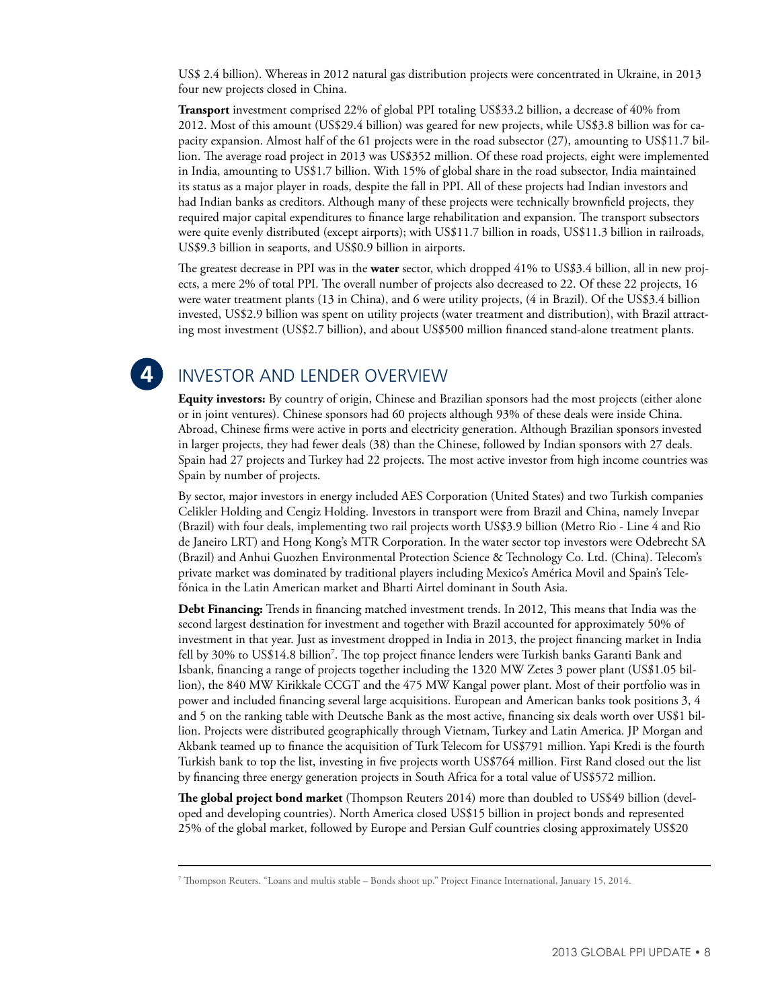US\$ 2.4 billion). Whereas in 2012 natural gas distribution projects were concentrated in Ukraine, in 2013 four new projects closed in China.

**Transport** investment comprised 22% of global PPI totaling US\$33.2 billion, a decrease of 40% from 2012. Most of this amount (US\$29.4 billion) was geared for new projects, while US\$3.8 billion was for capacity expansion. Almost half of the 61 projects were in the road subsector (27), amounting to US\$11.7 billion. The average road project in 2013 was US\$352 million. Of these road projects, eight were implemented in India, amounting to US\$1.7 billion. With 15% of global share in the road subsector, India maintained its status as a major player in roads, despite the fall in PPI. All of these projects had Indian investors and had Indian banks as creditors. Although many of these projects were technically brownfield projects, they required major capital expenditures to finance large rehabilitation and expansion. The transport subsectors were quite evenly distributed (except airports); with US\$11.7 billion in roads, US\$11.3 billion in railroads, US\$9.3 billion in seaports, and US\$0.9 billion in airports.

The greatest decrease in PPI was in the **water** sector, which dropped 41% to US\$3.4 billion, all in new projects, a mere 2% of total PPI. The overall number of projects also decreased to 22. Of these 22 projects, 16 were water treatment plants (13 in China), and 6 were utility projects, (4 in Brazil). Of the US\$3.4 billion invested, US\$2.9 billion was spent on utility projects (water treatment and distribution), with Brazil attracting most investment (US\$2.7 billion), and about US\$500 million financed stand-alone treatment plants.

## Investor and Lender Overview

**Equity investors:** By country of origin, Chinese and Brazilian sponsors had the most projects (either alone or in joint ventures). Chinese sponsors had 60 projects although 93% of these deals were inside China. Abroad, Chinese firms were active in ports and electricity generation. Although Brazilian sponsors invested in larger projects, they had fewer deals (38) than the Chinese, followed by Indian sponsors with 27 deals. Spain had 27 projects and Turkey had 22 projects. The most active investor from high income countries was Spain by number of projects.

By sector, major investors in energy included AES Corporation (United States) and two Turkish companies Celikler Holding and Cengiz Holding. Investors in transport were from Brazil and China, namely Invepar (Brazil) with four deals, implementing two rail projects worth US\$3.9 billion (Metro Rio - Line 4 and Rio de Janeiro LRT) and Hong Kong's MTR Corporation. In the water sector top investors were Odebrecht SA (Brazil) and Anhui Guozhen Environmental Protection Science & Technology Co. Ltd. (China). Telecom's private market was dominated by traditional players including Mexico's América Movil and Spain's Telefónica in the Latin American market and Bharti Airtel dominant in South Asia.

**Debt Financing:** Trends in financing matched investment trends. In 2012, This means that India was the second largest destination for investment and together with Brazil accounted for approximately 50% of investment in that year. Just as investment dropped in India in 2013, the project financing market in India fell by 30% to US\$14.8 billion7 . The top project finance lenders were Turkish banks Garanti Bank and Isbank, financing a range of projects together including the 1320 MW Zetes 3 power plant (US\$1.05 billion), the 840 MW Kirikkale CCGT and the 475 MW Kangal power plant. Most of their portfolio was in power and included financing several large acquisitions. European and American banks took positions 3, 4 and 5 on the ranking table with Deutsche Bank as the most active, financing six deals worth over US\$1 billion. Projects were distributed geographically through Vietnam, Turkey and Latin America. JP Morgan and Akbank teamed up to finance the acquisition of Turk Telecom for US\$791 million. Yapi Kredi is the fourth Turkish bank to top the list, investing in five projects worth US\$764 million. First Rand closed out the list by financing three energy generation projects in South Africa for a total value of US\$572 million.

**The global project bond market** (Thompson Reuters 2014) more than doubled to US\$49 billion (developed and developing countries). North America closed US\$15 billion in project bonds and represented 25% of the global market, followed by Europe and Persian Gulf countries closing approximately US\$20

<sup>7</sup> Thompson Reuters. "Loans and multis stable – Bonds shoot up." Project Finance International, January 15, 2014.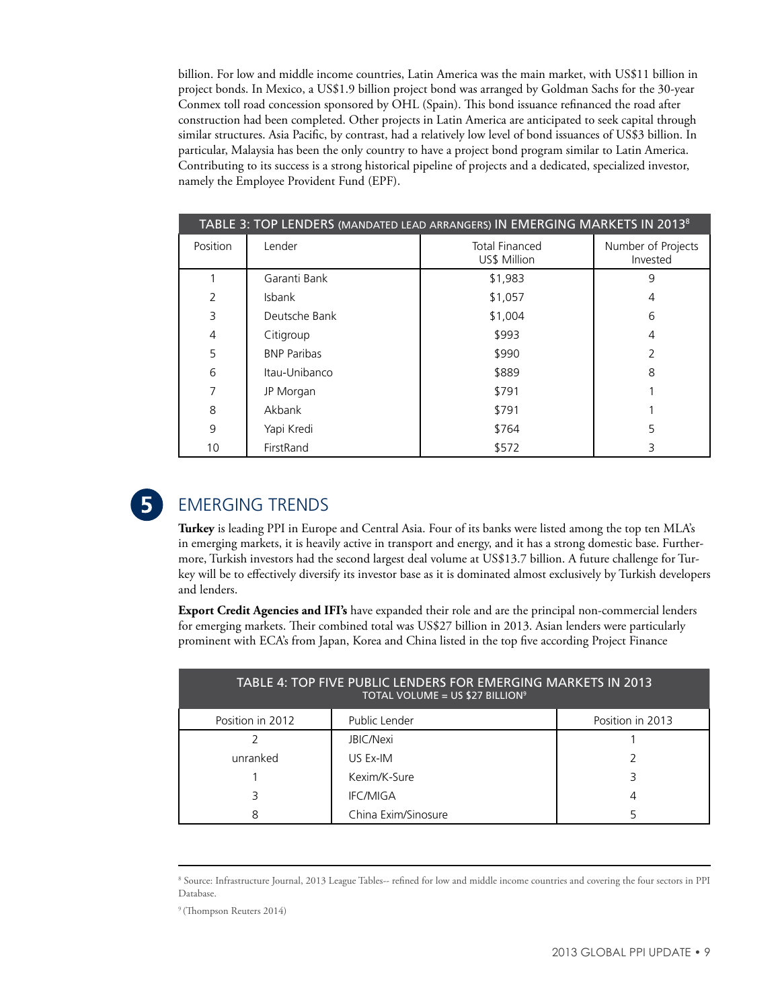billion. For low and middle income countries, Latin America was the main market, with US\$11 billion in project bonds. In Mexico, a US\$1.9 billion project bond was arranged by Goldman Sachs for the 30-year Conmex toll road concession sponsored by OHL (Spain). This bond issuance refinanced the road after construction had been completed. Other projects in Latin America are anticipated to seek capital through similar structures. Asia Pacific, by contrast, had a relatively low level of bond issuances of US\$3 billion. In particular, Malaysia has been the only country to have a project bond program similar to Latin America. Contributing to its success is a strong historical pipeline of projects and a dedicated, specialized investor, namely the Employee Provident Fund (EPF).

| TABLE 3: TOP LENDERS (MANDATED LEAD ARRANGERS) IN EMERGING MARKETS IN 2013 <sup>8</sup> |                    |                                       |                                |  |
|-----------------------------------------------------------------------------------------|--------------------|---------------------------------------|--------------------------------|--|
| Position                                                                                | Lender             | <b>Total Financed</b><br>US\$ Million | Number of Projects<br>Invested |  |
|                                                                                         | Garanti Bank       | \$1,983                               | 9                              |  |
| $\overline{2}$                                                                          | <b>Isbank</b>      | \$1,057                               | 4                              |  |
| 3                                                                                       | Deutsche Bank      | \$1,004                               | 6                              |  |
| 4                                                                                       | Citigroup          | \$993                                 | 4                              |  |
| 5                                                                                       | <b>BNP Paribas</b> | \$990                                 | C,                             |  |
| 6                                                                                       | Itau-Unibanco      | \$889                                 | 8                              |  |
| 7                                                                                       | JP Morgan          | \$791                                 |                                |  |
| 8                                                                                       | Akbank             | \$791                                 |                                |  |
| 9                                                                                       | Yapi Kredi         | \$764                                 | 5                              |  |
| 10                                                                                      | FirstRand          | \$572                                 | 3                              |  |



# Emerging Trends

**Turkey** is leading PPI in Europe and Central Asia. Four of its banks were listed among the top ten MLA's in emerging markets, it is heavily active in transport and energy, and it has a strong domestic base. Furthermore, Turkish investors had the second largest deal volume at US\$13.7 billion. A future challenge for Turkey will be to effectively diversify its investor base as it is dominated almost exclusively by Turkish developers and lenders.

**Export Credit Agencies and IFI's** have expanded their role and are the principal non-commercial lenders for emerging markets. Their combined total was US\$27 billion in 2013. Asian lenders were particularly prominent with ECA's from Japan, Korea and China listed in the top five according Project Finance

| TABLE 4: TOP FIVE PUBLIC LENDERS FOR EMERGING MARKETS IN 2013<br>TOTAL VOLUME = US \$27 BILLION <sup>9</sup> |                     |                  |  |  |
|--------------------------------------------------------------------------------------------------------------|---------------------|------------------|--|--|
| Position in 2012                                                                                             | Public Lender       | Position in 2013 |  |  |
|                                                                                                              | <b>JBIC/Nexi</b>    |                  |  |  |
| unranked                                                                                                     | US Ex-IM            |                  |  |  |
|                                                                                                              | Kexim/K-Sure        |                  |  |  |
| ς                                                                                                            | <b>IFC/MIGA</b>     |                  |  |  |
| 8                                                                                                            | China Exim/Sinosure |                  |  |  |

<sup>8</sup> Source: Infrastructure Journal, 2013 League Tables-- refined for low and middle income countries and covering the four sectors in PPI Database.

<sup>&</sup>lt;sup>9</sup> (Thompson Reuters 2014)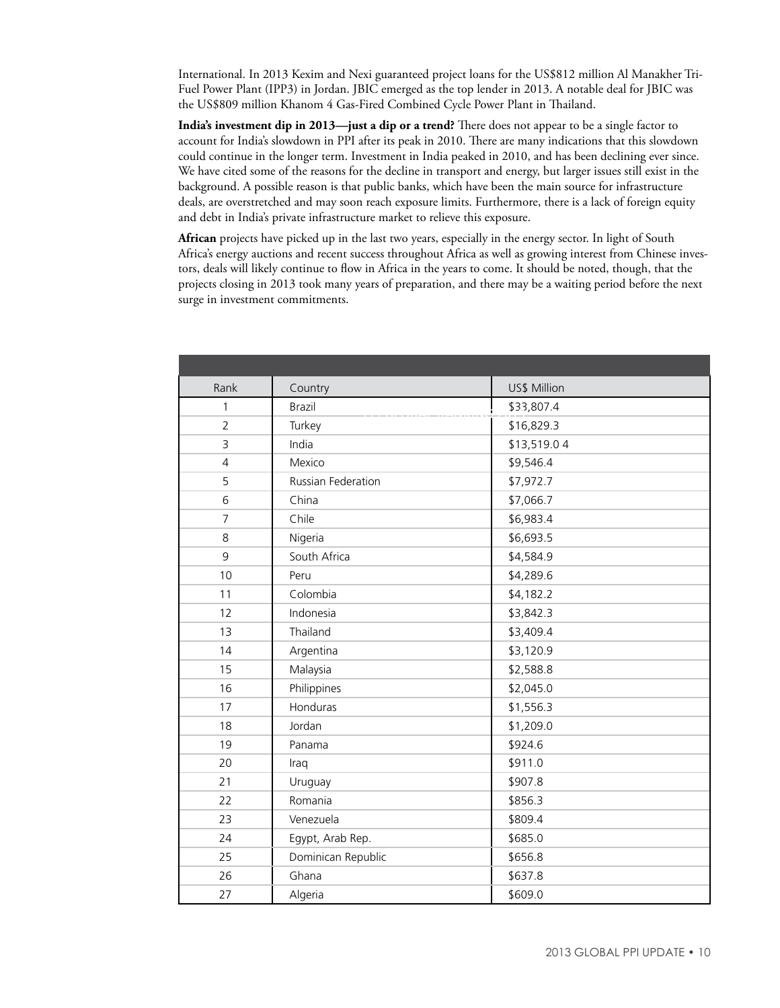International. In 2013 Kexim and Nexi guaranteed project loans for the US\$812 million Al Manakher Tri-Fuel Power Plant (IPP3) in Jordan. JBIC emerged as the top lender in 2013. A notable deal for JBIC was the US\$809 million Khanom 4 Gas-Fired Combined Cycle Power Plant in Thailand.

**India's investment dip in 2013—just a dip or a trend?** There does not appear to be a single factor to account for India's slowdown in PPI after its peak in 2010. There are many indications that this slowdown could continue in the longer term. Investment in India peaked in 2010, and has been declining ever since. We have cited some of the reasons for the decline in transport and energy, but larger issues still exist in the background. A possible reason is that public banks, which have been the main source for infrastructure deals, are overstretched and may soon reach exposure limits. Furthermore, there is a lack of foreign equity and debt in India's private infrastructure market to relieve this exposure.

**African** projects have picked up in the last two years, especially in the energy sector. In light of South Africa's energy auctions and recent success throughout Africa as well as growing interest from Chinese investors, deals will likely continue to flow in Africa in the years to come. It should be noted, though, that the projects closing in 2013 took many years of preparation, and there may be a waiting period before the next surge in investment commitments.

| Rank           | Country            | US\$ Million |
|----------------|--------------------|--------------|
| $\mathbf{1}$   | <b>Brazil</b>      | \$33,807.4   |
| $\overline{2}$ | Turkey             | \$16,829.3   |
| 3              | India              | \$13,519.04  |
| $\overline{4}$ | Mexico             | \$9,546.4    |
| 5              | Russian Federation | \$7,972.7    |
| 6              | China              | \$7,066.7    |
| $\overline{7}$ | Chile              | \$6,983.4    |
| 8              | Nigeria            | \$6,693.5    |
| 9              | South Africa       | \$4,584.9    |
| 10             | Peru               | \$4,289.6    |
| 11             | Colombia           | \$4,182.2    |
| 12             | Indonesia          | \$3,842.3    |
| 13             | Thailand           | \$3,409.4    |
| 14             | Argentina          | \$3,120.9    |
| 15             | Malaysia           | \$2,588.8    |
| 16             | Philippines        | \$2,045.0    |
| 17             | Honduras           | \$1,556.3    |
| 18             | Jordan             | \$1,209.0    |
| 19             | Panama             | \$924.6      |
| 20             | Iraq               | \$911.0      |
| 21             | Uruguay            | \$907.8      |
| 22             | Romania            | \$856.3      |
| 23             | Venezuela          | \$809.4      |
| 24             | Egypt, Arab Rep.   | \$685.0      |
| 25             | Dominican Republic | \$656.8      |
| 26             | Ghana              | \$637.8      |
| 27             | Algeria            | \$609.0      |
|                |                    |              |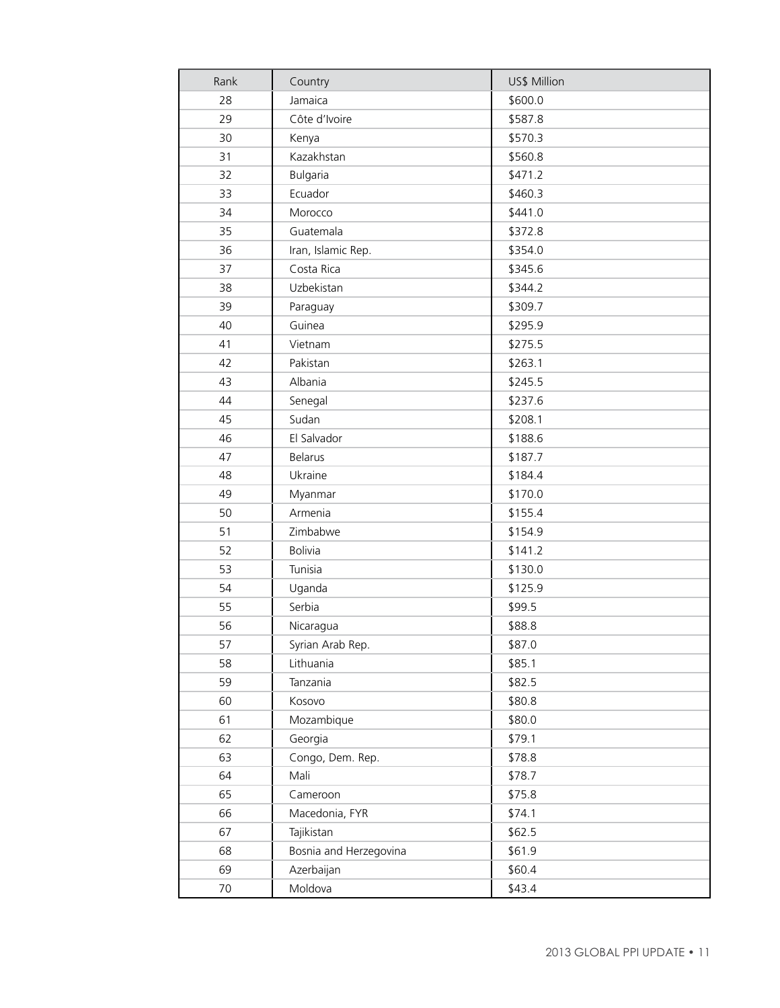| Rank | Country                | US\$ Million |
|------|------------------------|--------------|
| 28   | Jamaica                | \$600.0      |
| 29   | Côte d'Ivoire          | \$587.8      |
| 30   | Kenya                  | \$570.3      |
| 31   | Kazakhstan             | \$560.8      |
| 32   | <b>Bulgaria</b>        | \$471.2      |
| 33   | Ecuador                | \$460.3      |
| 34   | Morocco                | \$441.0      |
| 35   | Guatemala              | \$372.8      |
| 36   | Iran, Islamic Rep.     | \$354.0      |
| 37   | Costa Rica             | \$345.6      |
| 38   | Uzbekistan             | \$344.2      |
| 39   | Paraguay               | \$309.7      |
| 40   | Guinea                 | \$295.9      |
| 41   | Vietnam                | \$275.5      |
| 42   | Pakistan               | \$263.1      |
| 43   | Albania                | \$245.5      |
| 44   | Senegal                | \$237.6      |
| 45   | Sudan                  | \$208.1      |
| 46   | El Salvador            | \$188.6      |
| 47   | <b>Belarus</b>         | \$187.7      |
| 48   | Ukraine                | \$184.4      |
| 49   | Myanmar                | \$170.0      |
| 50   | Armenia                | \$155.4      |
| 51   | Zimbabwe               | \$154.9      |
| 52   | <b>Bolivia</b>         | \$141.2      |
| 53   | Tunisia                | \$130.0      |
| 54   | Uganda                 | \$125.9      |
| 55   | Serbia                 | \$99.5       |
| 56   | Nicaragua              | \$88.8       |
| 57   | Syrian Arab Rep.       | \$87.0       |
| 58   | Lithuania              | \$85.1       |
| 59   | Tanzania               | \$82.5       |
| 60   | Kosovo                 | \$80.8       |
| 61   | Mozambique             | \$80.0       |
| 62   | Georgia                | \$79.1       |
| 63   | Congo, Dem. Rep.       | \$78.8       |
| 64   | Mali                   | \$78.7       |
| 65   | Cameroon               | \$75.8       |
| 66   | Macedonia, FYR         | \$74.1       |
| 67   | Tajikistan             | \$62.5       |
| 68   | Bosnia and Herzegovina | \$61.9       |
| 69   | Azerbaijan             | \$60.4       |
| 70   | Moldova                | \$43.4       |